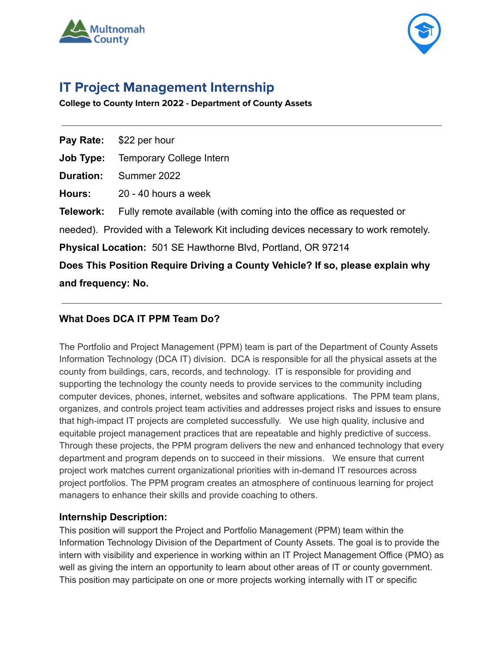



# **IT Project Management Internship**

**College to County Intern 2022 - Department of County Assets**

| Pay Rate:                                                                           | \$22 per hour                                                       |
|-------------------------------------------------------------------------------------|---------------------------------------------------------------------|
| Job Type:                                                                           | <b>Temporary College Intern</b>                                     |
| <b>Duration:</b>                                                                    | Summer 2022                                                         |
| <b>Hours:</b>                                                                       | 20 - 40 hours a week                                                |
| Telework:                                                                           | Fully remote available (with coming into the office as requested or |
| needed). Provided with a Telework Kit including devices necessary to work remotely. |                                                                     |
| <b>Physical Location:</b> 501 SE Hawthorne Blvd, Portland, OR 97214                 |                                                                     |
| Does This Position Require Driving a County Vehicle? If so, please explain why      |                                                                     |
| and frequency: No.                                                                  |                                                                     |

# **What Does DCA IT PPM Team Do?**

The Portfolio and Project Management (PPM) team is part of the Department of County Assets Information Technology (DCA IT) division. DCA is responsible for all the physical assets at the county from buildings, cars, records, and technology. IT is responsible for providing and supporting the technology the county needs to provide services to the community including computer devices, phones, internet, websites and software applications. The PPM team plans, organizes, and controls project team activities and addresses project risks and issues to ensure that high-impact IT projects are completed successfully. We use high quality, inclusive and equitable project management practices that are repeatable and highly predictive of success. Through these projects, the PPM program delivers the new and enhanced technology that every department and program depends on to succeed in their missions. We ensure that current project work matches current organizational priorities with in-demand IT resources across project portfolios. The PPM program creates an atmosphere of continuous learning for project managers to enhance their skills and provide coaching to others.

## **Internship Description:**

This position will support the Project and Portfolio Management (PPM) team within the Information Technology Division of the Department of County Assets. The goal is to provide the intern with visibility and experience in working within an IT Project Management Office (PMO) as well as giving the intern an opportunity to learn about other areas of IT or county government. This position may participate on one or more projects working internally with IT or specific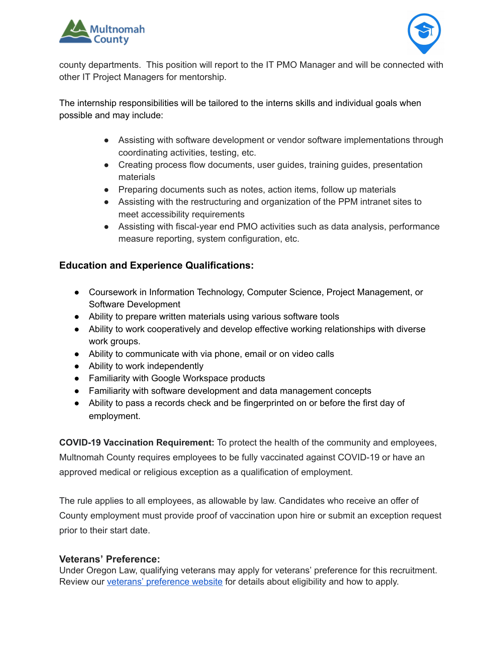



county departments. This position will report to the IT PMO Manager and will be connected with other IT Project Managers for mentorship.

The internship responsibilities will be tailored to the interns skills and individual goals when possible and may include:

- Assisting with software development or vendor software implementations through coordinating activities, testing, etc.
- Creating process flow documents, user guides, training guides, presentation materials
- Preparing documents such as notes, action items, follow up materials
- Assisting with the restructuring and organization of the PPM intranet sites to meet accessibility requirements
- Assisting with fiscal-year end PMO activities such as data analysis, performance measure reporting, system configuration, etc.

# **Education and Experience Qualifications:**

- Coursework in Information Technology, Computer Science, Project Management, or Software Development
- Ability to prepare written materials using various software tools
- Ability to work cooperatively and develop effective working relationships with diverse work groups.
- Ability to communicate with via phone, email or on video calls
- Ability to work independently
- Familiarity with Google Workspace products
- Familiarity with software development and data management concepts
- Ability to pass a records check and be fingerprinted on or before the first day of employment.

**COVID-19 Vaccination Requirement:** To protect the health of the community and employees,

Multnomah County requires employees to be fully vaccinated against COVID-19 or have an approved medical or religious exception as a qualification of employment.

The rule applies to all employees, as allowable by law. Candidates who receive an offer of County employment must provide proof of vaccination upon hire or submit an exception request prior to their start date.

## **Veterans' Preference:**

Under Oregon Law, qualifying veterans may apply for veterans' preference for this recruitment. Review our veterans' [preference](http://multco.us/jobs/veterans-preference-information-and-instructions) website for details about eligibility and how to apply.